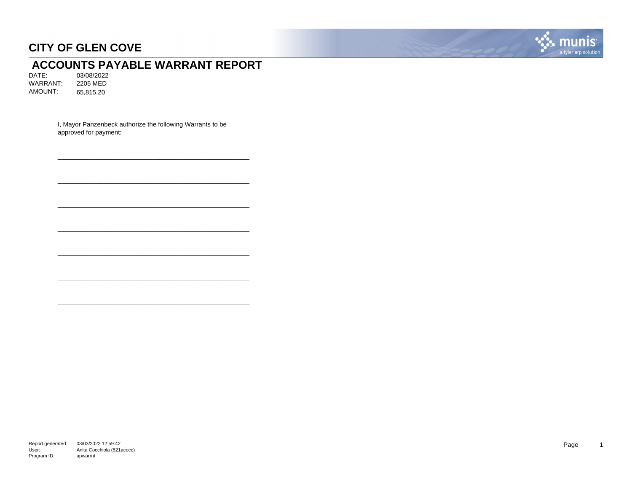

# **ACCOUNTS PAYABLE WARRANT REPORT**<br>DATE: 03/08/2022

03/08/2022<br>2205 MED WARRANT: AMOUNT: 65,815.20

> I, Mayor Panzenbeck authorize the following Warrants to be approved for payment:

\_\_\_\_\_\_\_\_\_\_\_\_\_\_\_\_\_\_\_\_\_\_\_\_\_\_\_\_\_\_\_\_\_\_\_\_\_\_\_\_\_\_\_\_\_\_\_\_\_\_\_\_\_\_

\_\_\_\_\_\_\_\_\_\_\_\_\_\_\_\_\_\_\_\_\_\_\_\_\_\_\_\_\_\_\_\_\_\_\_\_\_\_\_\_\_\_\_\_\_\_\_\_\_\_\_\_\_\_

\_\_\_\_\_\_\_\_\_\_\_\_\_\_\_\_\_\_\_\_\_\_\_\_\_\_\_\_\_\_\_\_\_\_\_\_\_\_\_\_\_\_\_\_\_\_\_\_\_\_\_\_\_\_

\_\_\_\_\_\_\_\_\_\_\_\_\_\_\_\_\_\_\_\_\_\_\_\_\_\_\_\_\_\_\_\_\_\_\_\_\_\_\_\_\_\_\_\_\_\_\_\_\_\_\_\_\_\_

\_\_\_\_\_\_\_\_\_\_\_\_\_\_\_\_\_\_\_\_\_\_\_\_\_\_\_\_\_\_\_\_\_\_\_\_\_\_\_\_\_\_\_\_\_\_\_\_\_\_\_\_\_\_

\_\_\_\_\_\_\_\_\_\_\_\_\_\_\_\_\_\_\_\_\_\_\_\_\_\_\_\_\_\_\_\_\_\_\_\_\_\_\_\_\_\_\_\_\_\_\_\_\_\_\_\_\_\_

\_\_\_\_\_\_\_\_\_\_\_\_\_\_\_\_\_\_\_\_\_\_\_\_\_\_\_\_\_\_\_\_\_\_\_\_\_\_\_\_\_\_\_\_\_\_\_\_\_\_\_\_\_\_

Report generated: 03/03/2022 12:59:42 User: Program ID: Anita Cocchiola (821acocc) apwarrnt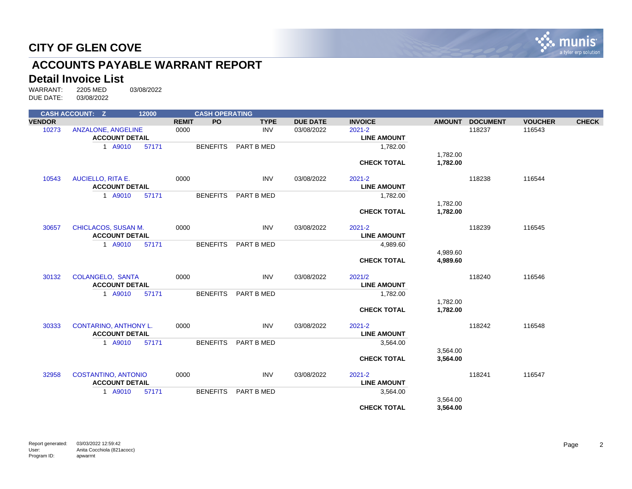

# **ACCOUNTS PAYABLE WARRANT REPORT**

# **Detail Invoice List**<br>WARRANT: 2205 MED

WARRANT: 2205 MED 03/08/2022 DUE DATE: 03/08/2022

|               | <b>CASH ACCOUNT: Z</b>                              | 12000 |              | <b>CASH OPERATING</b> |             |                 |                                  |                      |                 |                |              |
|---------------|-----------------------------------------------------|-------|--------------|-----------------------|-------------|-----------------|----------------------------------|----------------------|-----------------|----------------|--------------|
| <b>VENDOR</b> |                                                     |       | <b>REMIT</b> | <b>PO</b>             | <b>TYPE</b> | <b>DUE DATE</b> | <b>INVOICE</b>                   | <b>AMOUNT</b>        | <b>DOCUMENT</b> | <b>VOUCHER</b> | <b>CHECK</b> |
| 10273         | <b>ANZALONE, ANGELINE</b><br><b>ACCOUNT DETAIL</b>  |       | 0000         |                       | <b>INV</b>  | 03/08/2022      | $2021 - 2$<br><b>LINE AMOUNT</b> |                      | 118237          | 116543         |              |
|               | 1 A9010                                             | 57171 |              | <b>BENEFITS</b>       | PART B MED  |                 | 1,782.00                         |                      |                 |                |              |
|               |                                                     |       |              |                       |             |                 | <b>CHECK TOTAL</b>               | 1,782.00<br>1,782.00 |                 |                |              |
| 10543         | <b>AUCIELLO, RITA E.</b><br><b>ACCOUNT DETAIL</b>   |       | 0000         |                       | <b>INV</b>  | 03/08/2022      | $2021 - 2$<br><b>LINE AMOUNT</b> |                      | 118238          | 116544         |              |
|               | 1 A9010                                             | 57171 |              | <b>BENEFITS</b>       | PART B MED  |                 | 1,782.00                         |                      |                 |                |              |
|               |                                                     |       |              |                       |             |                 |                                  | 1,782.00             |                 |                |              |
|               |                                                     |       |              |                       |             |                 | <b>CHECK TOTAL</b>               | 1,782.00             |                 |                |              |
| 30657         | CHICLACOS, SUSAN M.<br><b>ACCOUNT DETAIL</b>        |       | 0000         |                       | <b>INV</b>  | 03/08/2022      | $2021 - 2$<br><b>LINE AMOUNT</b> |                      | 118239          | 116545         |              |
|               | 1 A9010                                             | 57171 |              | <b>BENEFITS</b>       | PART B MED  |                 | 4,989.60                         |                      |                 |                |              |
|               |                                                     |       |              |                       |             |                 |                                  | 4,989.60             |                 |                |              |
|               |                                                     |       |              |                       |             |                 | <b>CHECK TOTAL</b>               | 4,989.60             |                 |                |              |
| 30132         | <b>COLANGELO, SANTA</b><br><b>ACCOUNT DETAIL</b>    |       | 0000         |                       | <b>INV</b>  | 03/08/2022      | 2021/2<br><b>LINE AMOUNT</b>     |                      | 118240          | 116546         |              |
|               | 1 A9010                                             | 57171 |              | <b>BENEFITS</b>       | PART B MED  |                 | 1,782.00                         |                      |                 |                |              |
|               |                                                     |       |              |                       |             |                 |                                  | 1,782.00             |                 |                |              |
|               |                                                     |       |              |                       |             |                 | <b>CHECK TOTAL</b>               | 1,782.00             |                 |                |              |
| 30333         | <b>CONTARINO, ANTHONY L.</b>                        |       | 0000         |                       | <b>INV</b>  | 03/08/2022      | $2021 - 2$                       |                      | 118242          | 116548         |              |
|               | <b>ACCOUNT DETAIL</b>                               |       |              |                       |             |                 | <b>LINE AMOUNT</b>               |                      |                 |                |              |
|               | 1 A9010                                             | 57171 |              | <b>BENEFITS</b>       | PART B MED  |                 | 3,564.00                         | 3,564.00             |                 |                |              |
|               |                                                     |       |              |                       |             |                 | <b>CHECK TOTAL</b>               | 3,564.00             |                 |                |              |
| 32958         | <b>COSTANTINO, ANTONIO</b><br><b>ACCOUNT DETAIL</b> |       | 0000         |                       | INV         | 03/08/2022      | $2021 - 2$<br><b>LINE AMOUNT</b> |                      | 118241          | 116547         |              |
|               | 1 A9010                                             | 57171 |              | <b>BENEFITS</b>       | PART B MED  |                 | 3,564.00                         |                      |                 |                |              |
|               |                                                     |       |              |                       |             |                 |                                  | 3,564.00             |                 |                |              |
|               |                                                     |       |              |                       |             |                 | <b>CHECK TOTAL</b>               | 3,564.00             |                 |                |              |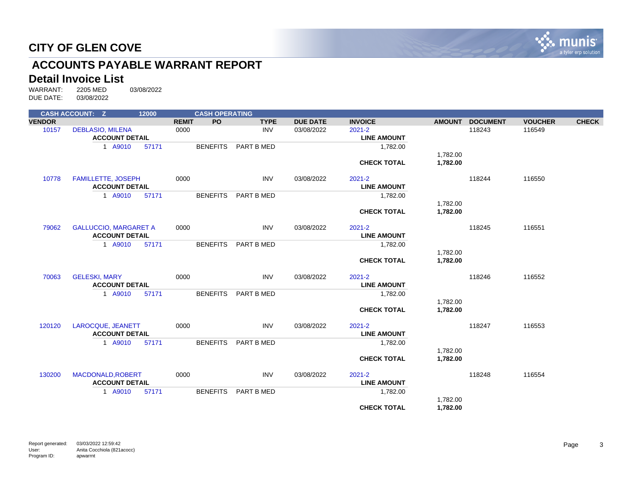

# **ACCOUNTS PAYABLE WARRANT REPORT**

# **Detail Invoice List**<br>WARRANT: 2205 MED

|               | <b>CASH ACCOUNT: Z</b>                           | 12000 |              |                 | <b>CASH OPERATING</b> |                 |                                  |                      |                 |                |              |
|---------------|--------------------------------------------------|-------|--------------|-----------------|-----------------------|-----------------|----------------------------------|----------------------|-----------------|----------------|--------------|
| <b>VENDOR</b> |                                                  |       | <b>REMIT</b> | <b>PO</b>       | <b>TYPE</b>           | <b>DUE DATE</b> | <b>INVOICE</b>                   | <b>AMOUNT</b>        | <b>DOCUMENT</b> | <b>VOUCHER</b> | <b>CHECK</b> |
| 10157         | <b>DEBLASIO, MILENA</b><br><b>ACCOUNT DETAIL</b> |       | 0000         |                 | <b>INV</b>            | 03/08/2022      | $2021 - 2$<br><b>LINE AMOUNT</b> |                      | 118243          | 116549         |              |
|               | 1 A9010                                          | 57171 |              | <b>BENEFITS</b> | PART B MED            |                 | 1,782.00                         |                      |                 |                |              |
|               |                                                  |       |              |                 |                       |                 | <b>CHECK TOTAL</b>               | 1,782.00<br>1,782.00 |                 |                |              |
| 10778         | <b>FAMILLETTE, JOSEPH</b>                        |       | 0000         |                 | <b>INV</b>            | 03/08/2022      | $2021 - 2$                       |                      | 118244          | 116550         |              |
|               | <b>ACCOUNT DETAIL</b>                            |       |              |                 |                       |                 | <b>LINE AMOUNT</b>               |                      |                 |                |              |
|               | 1 A9010                                          | 57171 |              | <b>BENEFITS</b> | PART B MED            |                 | 1,782.00                         |                      |                 |                |              |
|               |                                                  |       |              |                 |                       |                 |                                  | 1,782.00             |                 |                |              |
|               |                                                  |       |              |                 |                       |                 | <b>CHECK TOTAL</b>               | 1,782.00             |                 |                |              |
| 79062         | <b>GALLUCCIO, MARGARET A</b>                     |       | 0000         |                 | <b>INV</b>            | 03/08/2022      | $2021 - 2$                       |                      | 118245          | 116551         |              |
|               | <b>ACCOUNT DETAIL</b>                            |       |              |                 |                       |                 | <b>LINE AMOUNT</b>               |                      |                 |                |              |
|               | 1 A9010                                          | 57171 |              | <b>BENEFITS</b> | PART B MED            |                 | 1,782.00                         |                      |                 |                |              |
|               |                                                  |       |              |                 |                       |                 | <b>CHECK TOTAL</b>               | 1,782.00<br>1,782.00 |                 |                |              |
|               |                                                  |       |              |                 |                       |                 |                                  |                      |                 |                |              |
| 70063         | <b>GELESKI, MARY</b>                             |       | 0000         |                 | <b>INV</b>            | 03/08/2022      | $2021 - 2$                       |                      | 118246          | 116552         |              |
|               | <b>ACCOUNT DETAIL</b>                            |       |              |                 |                       |                 | <b>LINE AMOUNT</b>               |                      |                 |                |              |
|               | 1 A9010                                          | 57171 |              | <b>BENEFITS</b> | PART B MED            |                 | 1,782.00                         |                      |                 |                |              |
|               |                                                  |       |              |                 |                       |                 |                                  | 1,782.00             |                 |                |              |
|               |                                                  |       |              |                 |                       |                 | <b>CHECK TOTAL</b>               | 1,782.00             |                 |                |              |
| 120120        | LAROCQUE, JEANETT                                |       | 0000         |                 | <b>INV</b>            | 03/08/2022      | $2021 - 2$                       |                      | 118247          | 116553         |              |
|               | <b>ACCOUNT DETAIL</b>                            |       |              |                 |                       |                 | <b>LINE AMOUNT</b>               |                      |                 |                |              |
|               | 1 A9010                                          | 57171 |              | <b>BENEFITS</b> | PART B MED            |                 | 1,782.00                         |                      |                 |                |              |
|               |                                                  |       |              |                 |                       |                 |                                  | 1,782.00             |                 |                |              |
|               |                                                  |       |              |                 |                       |                 | <b>CHECK TOTAL</b>               | 1,782.00             |                 |                |              |
| 130200        | MACDONALD, ROBERT                                |       | 0000         |                 | <b>INV</b>            | 03/08/2022      | $2021 - 2$                       |                      | 118248          | 116554         |              |
|               | <b>ACCOUNT DETAIL</b>                            |       |              |                 |                       |                 | <b>LINE AMOUNT</b>               |                      |                 |                |              |
|               | 1 A9010                                          | 57171 |              | <b>BENEFITS</b> | PART B MED            |                 | 1,782.00                         |                      |                 |                |              |
|               |                                                  |       |              |                 |                       |                 |                                  | 1,782.00             |                 |                |              |
|               |                                                  |       |              |                 |                       |                 | <b>CHECK TOTAL</b>               | 1,782.00             |                 |                |              |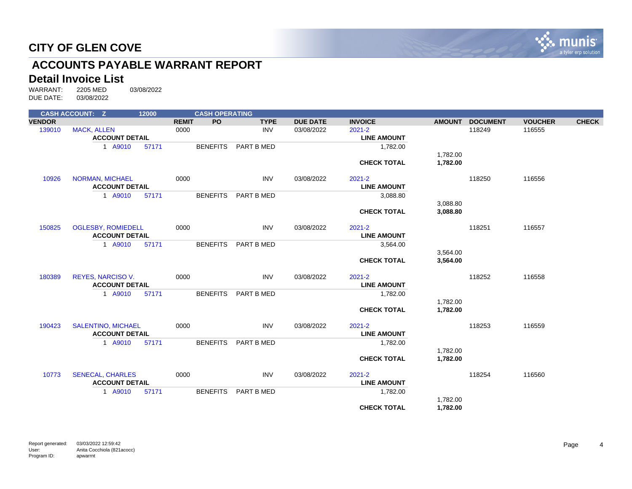

# **ACCOUNTS PAYABLE WARRANT REPORT**

# **Detail Invoice List**<br>WARRANT: 2205 MED

|               | <b>CASH ACCOUNT: Z</b>                      | 12000 |              | <b>CASH OPERATING</b> |             |                 |                                  |                      |                 |                |              |
|---------------|---------------------------------------------|-------|--------------|-----------------------|-------------|-----------------|----------------------------------|----------------------|-----------------|----------------|--------------|
| <b>VENDOR</b> |                                             |       | <b>REMIT</b> | PO.                   | <b>TYPE</b> | <b>DUE DATE</b> | <b>INVOICE</b>                   | <b>AMOUNT</b>        | <b>DOCUMENT</b> | <b>VOUCHER</b> | <b>CHECK</b> |
| 139010        | <b>MACK, ALLEN</b><br><b>ACCOUNT DETAIL</b> |       | 0000         |                       | <b>INV</b>  | 03/08/2022      | $2021 - 2$<br><b>LINE AMOUNT</b> |                      | 118249          | 116555         |              |
|               | 1 A9010                                     | 57171 |              | <b>BENEFITS</b>       | PART B MED  |                 | 1,782.00                         |                      |                 |                |              |
|               |                                             |       |              |                       |             |                 | <b>CHECK TOTAL</b>               | 1,782.00<br>1,782.00 |                 |                |              |
| 10926         | <b>NORMAN, MICHAEL</b>                      |       | 0000         |                       | <b>INV</b>  | 03/08/2022      | $2021 - 2$                       |                      | 118250          | 116556         |              |
|               | <b>ACCOUNT DETAIL</b>                       |       |              |                       |             |                 | <b>LINE AMOUNT</b>               |                      |                 |                |              |
|               | 1 A9010                                     | 57171 |              | <b>BENEFITS</b>       | PART B MED  |                 | 3,088.80                         |                      |                 |                |              |
|               |                                             |       |              |                       |             |                 |                                  | 3,088.80             |                 |                |              |
|               |                                             |       |              |                       |             |                 | <b>CHECK TOTAL</b>               | 3,088.80             |                 |                |              |
| 150825        | <b>OGLESBY, ROMIEDELL</b>                   |       | 0000         |                       | <b>INV</b>  | 03/08/2022      | $2021 - 2$                       |                      | 118251          | 116557         |              |
|               | <b>ACCOUNT DETAIL</b>                       |       |              |                       |             |                 | <b>LINE AMOUNT</b>               |                      |                 |                |              |
|               | 1 A9010                                     | 57171 |              | <b>BENEFITS</b>       | PART B MED  |                 | 3,564.00                         |                      |                 |                |              |
|               |                                             |       |              |                       |             |                 | <b>CHECK TOTAL</b>               | 3,564.00<br>3,564.00 |                 |                |              |
| 180389        | <b>REYES, NARCISO V.</b>                    |       | 0000         |                       | <b>INV</b>  | 03/08/2022      | $2021 - 2$                       |                      | 118252          | 116558         |              |
|               | <b>ACCOUNT DETAIL</b>                       |       |              |                       |             |                 | <b>LINE AMOUNT</b>               |                      |                 |                |              |
|               | 1 A9010                                     | 57171 |              | <b>BENEFITS</b>       | PART B MED  |                 | 1,782.00                         |                      |                 |                |              |
|               |                                             |       |              |                       |             |                 |                                  | 1,782.00             |                 |                |              |
|               |                                             |       |              |                       |             |                 | <b>CHECK TOTAL</b>               | 1,782.00             |                 |                |              |
| 190423        | <b>SALENTINO, MICHAEL</b>                   |       | 0000         |                       | <b>INV</b>  | 03/08/2022      | $2021 - 2$                       |                      | 118253          | 116559         |              |
|               | <b>ACCOUNT DETAIL</b>                       |       |              |                       |             |                 | <b>LINE AMOUNT</b>               |                      |                 |                |              |
|               | 1 A9010                                     | 57171 |              | <b>BENEFITS</b>       | PART B MED  |                 | 1,782.00                         | 1,782.00             |                 |                |              |
|               |                                             |       |              |                       |             |                 | <b>CHECK TOTAL</b>               | 1,782.00             |                 |                |              |
| 10773         | <b>SENECAL, CHARLES</b>                     |       | 0000         |                       | <b>INV</b>  | 03/08/2022      | $2021 - 2$                       |                      | 118254          | 116560         |              |
|               | <b>ACCOUNT DETAIL</b>                       |       |              |                       |             |                 | <b>LINE AMOUNT</b>               |                      |                 |                |              |
|               | 1 A9010                                     | 57171 |              | <b>BENEFITS</b>       | PART B MED  |                 | 1,782.00                         |                      |                 |                |              |
|               |                                             |       |              |                       |             |                 |                                  | 1,782.00             |                 |                |              |
|               |                                             |       |              |                       |             |                 | <b>CHECK TOTAL</b>               | 1,782.00             |                 |                |              |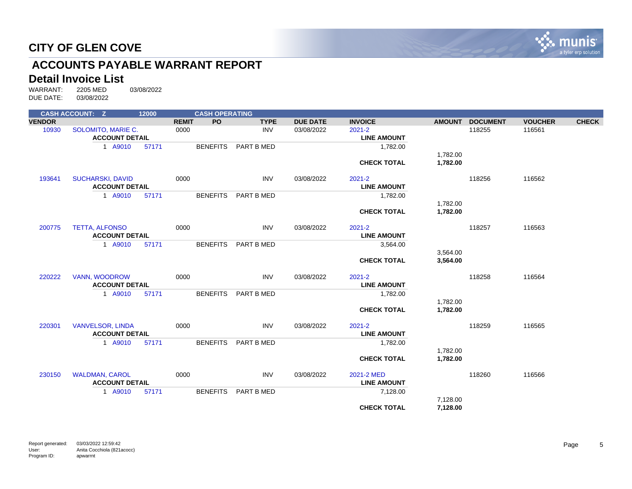

# **ACCOUNTS PAYABLE WARRANT REPORT**

# **Detail Invoice List**<br>WARRANT: 2205 MED

|               | <b>CASH ACCOUNT: Z</b>  | 12000 |              | <b>CASH OPERATING</b> |             |                 |                    |               |                 |                |              |
|---------------|-------------------------|-------|--------------|-----------------------|-------------|-----------------|--------------------|---------------|-----------------|----------------|--------------|
| <b>VENDOR</b> |                         |       | <b>REMIT</b> | <b>PO</b>             | <b>TYPE</b> | <b>DUE DATE</b> | <b>INVOICE</b>     | <b>AMOUNT</b> | <b>DOCUMENT</b> | <b>VOUCHER</b> | <b>CHECK</b> |
| 10930         | SOLOMITO, MARIE C.      |       | 0000         |                       | <b>INV</b>  | 03/08/2022      | $2021 - 2$         |               | 118255          | 116561         |              |
|               | <b>ACCOUNT DETAIL</b>   |       |              |                       |             |                 | <b>LINE AMOUNT</b> |               |                 |                |              |
|               | 1 A9010                 | 57171 |              | <b>BENEFITS</b>       | PART B MED  |                 | 1,782.00           |               |                 |                |              |
|               |                         |       |              |                       |             |                 |                    | 1,782.00      |                 |                |              |
|               |                         |       |              |                       |             |                 | <b>CHECK TOTAL</b> | 1,782.00      |                 |                |              |
| 193641        | <b>SUCHARSKI, DAVID</b> |       | 0000         |                       | <b>INV</b>  | 03/08/2022      | $2021 - 2$         |               | 118256          | 116562         |              |
|               | <b>ACCOUNT DETAIL</b>   |       |              |                       |             |                 | <b>LINE AMOUNT</b> |               |                 |                |              |
|               | 1 A9010                 | 57171 |              | <b>BENEFITS</b>       | PART B MED  |                 | 1,782.00           |               |                 |                |              |
|               |                         |       |              |                       |             |                 |                    | 1,782.00      |                 |                |              |
|               |                         |       |              |                       |             |                 | <b>CHECK TOTAL</b> | 1,782.00      |                 |                |              |
| 200775        | <b>TETTA, ALFONSO</b>   |       | 0000         |                       | <b>INV</b>  | 03/08/2022      | $2021 - 2$         |               | 118257          | 116563         |              |
|               | <b>ACCOUNT DETAIL</b>   |       |              |                       |             |                 | <b>LINE AMOUNT</b> |               |                 |                |              |
|               | 1 A9010                 | 57171 |              | <b>BENEFITS</b>       | PART B MED  |                 | 3,564.00           |               |                 |                |              |
|               |                         |       |              |                       |             |                 |                    | 3,564.00      |                 |                |              |
|               |                         |       |              |                       |             |                 | <b>CHECK TOTAL</b> | 3,564.00      |                 |                |              |
| 220222        | <b>VANN, WOODROW</b>    |       | 0000         |                       | <b>INV</b>  | 03/08/2022      | $2021 - 2$         |               | 118258          | 116564         |              |
|               | <b>ACCOUNT DETAIL</b>   |       |              |                       |             |                 | <b>LINE AMOUNT</b> |               |                 |                |              |
|               | 1 A9010                 | 57171 |              | <b>BENEFITS</b>       | PART B MED  |                 | 1,782.00           |               |                 |                |              |
|               |                         |       |              |                       |             |                 |                    | 1,782.00      |                 |                |              |
|               |                         |       |              |                       |             |                 | <b>CHECK TOTAL</b> | 1,782.00      |                 |                |              |
| 220301        | <b>VANVELSOR, LINDA</b> |       | 0000         |                       | <b>INV</b>  | 03/08/2022      | $2021 - 2$         |               | 118259          | 116565         |              |
|               | <b>ACCOUNT DETAIL</b>   |       |              |                       |             |                 | <b>LINE AMOUNT</b> |               |                 |                |              |
|               | 1 A9010                 | 57171 |              | <b>BENEFITS</b>       | PART B MED  |                 | 1,782.00           |               |                 |                |              |
|               |                         |       |              |                       |             |                 |                    | 1,782.00      |                 |                |              |
|               |                         |       |              |                       |             |                 | <b>CHECK TOTAL</b> | 1,782.00      |                 |                |              |
| 230150        | <b>WALDMAN, CAROL</b>   |       | 0000         |                       | <b>INV</b>  | 03/08/2022      | 2021-2 MED         |               | 118260          | 116566         |              |
|               | <b>ACCOUNT DETAIL</b>   |       |              |                       |             |                 | <b>LINE AMOUNT</b> |               |                 |                |              |
|               | 1 A9010                 | 57171 |              | <b>BENEFITS</b>       | PART B MED  |                 | 7,128.00           |               |                 |                |              |
|               |                         |       |              |                       |             |                 |                    | 7,128.00      |                 |                |              |
|               |                         |       |              |                       |             |                 | <b>CHECK TOTAL</b> | 7,128.00      |                 |                |              |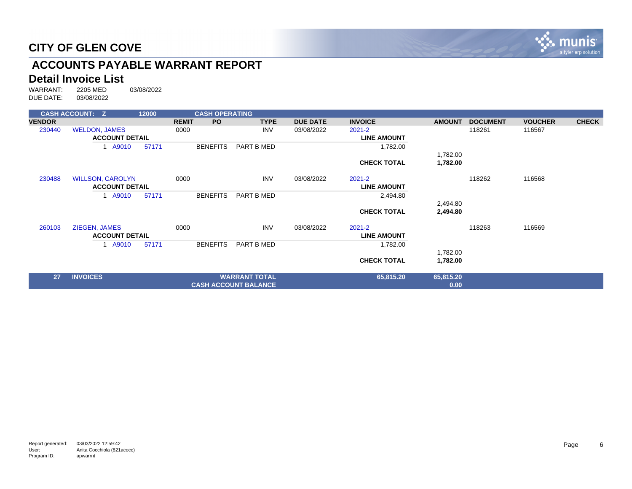

# **ACCOUNTS PAYABLE WARRANT REPORT**

# **Detail Invoice List**<br>WARRANT: 2205 MED

|               | <b>CASH ACCOUNT: Z</b>  | 12000 | <b>CASH OPERATING</b> |                             |                 |                    |               |                 |                |              |
|---------------|-------------------------|-------|-----------------------|-----------------------------|-----------------|--------------------|---------------|-----------------|----------------|--------------|
| <b>VENDOR</b> |                         |       | PO.<br><b>REMIT</b>   | <b>TYPE</b>                 | <b>DUE DATE</b> | <b>INVOICE</b>     | <b>AMOUNT</b> | <b>DOCUMENT</b> | <b>VOUCHER</b> | <b>CHECK</b> |
| 230440        | <b>WELDON, JAMES</b>    |       | 0000                  | <b>INV</b>                  | 03/08/2022      | $2021 - 2$         |               | 118261          | 116567         |              |
|               | <b>ACCOUNT DETAIL</b>   |       |                       |                             |                 | <b>LINE AMOUNT</b> |               |                 |                |              |
|               | 1 A9010                 | 57171 | <b>BENEFITS</b>       | PART B MED                  |                 | 1,782.00           |               |                 |                |              |
|               |                         |       |                       |                             |                 |                    | 1,782.00      |                 |                |              |
|               |                         |       |                       |                             |                 | <b>CHECK TOTAL</b> | 1,782.00      |                 |                |              |
| 230488        | <b>WILLSON, CAROLYN</b> |       | 0000                  | <b>INV</b>                  | 03/08/2022      | 2021-2             |               | 118262          | 116568         |              |
|               | <b>ACCOUNT DETAIL</b>   |       |                       |                             |                 | <b>LINE AMOUNT</b> |               |                 |                |              |
|               | A9010                   | 57171 | <b>BENEFITS</b>       | PART B MED                  |                 | 2,494.80           |               |                 |                |              |
|               |                         |       |                       |                             |                 |                    | 2,494.80      |                 |                |              |
|               |                         |       |                       |                             |                 | <b>CHECK TOTAL</b> | 2,494.80      |                 |                |              |
| 260103        | ZIEGEN, JAMES           |       | 0000                  | <b>INV</b>                  | 03/08/2022      | 2021-2             |               | 118263          | 116569         |              |
|               | <b>ACCOUNT DETAIL</b>   |       |                       |                             |                 | <b>LINE AMOUNT</b> |               |                 |                |              |
|               | A9010                   | 57171 | <b>BENEFITS</b>       | PART B MED                  |                 | 1,782.00           |               |                 |                |              |
|               |                         |       |                       |                             |                 |                    | 1,782.00      |                 |                |              |
|               |                         |       |                       |                             |                 | <b>CHECK TOTAL</b> | 1,782.00      |                 |                |              |
| 27            | <b>INVOICES</b>         |       |                       | <b>WARRANT TOTAL</b>        |                 | 65,815.20          | 65,815.20     |                 |                |              |
|               |                         |       |                       | <b>CASH ACCOUNT BALANCE</b> |                 |                    | 0.00          |                 |                |              |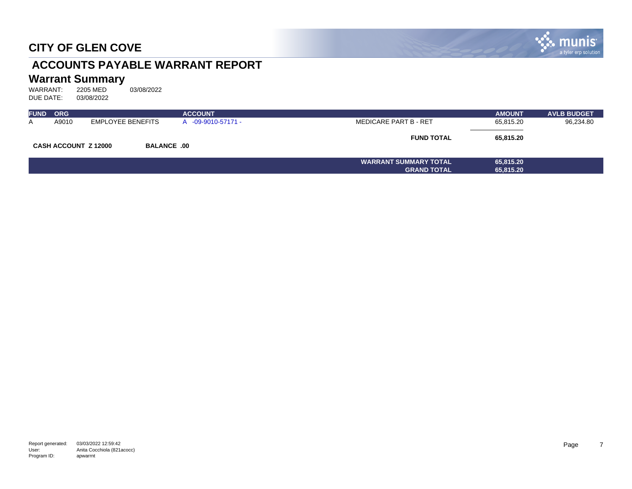

# **ACCOUNTS PAYABLE WARRANT REPORT**

# **Warrant Summary**<br>WARRANT: 2205 MED

| <b>FUND</b> | <b>ORG</b>                  |                    | <b>ACCOUNT</b>   |                              | <b>AMOUNT</b> | <b>AVLB BUDGET</b> |
|-------------|-----------------------------|--------------------|------------------|------------------------------|---------------|--------------------|
| A           | A9010                       | EMPLOYEE BENEFITS  | -09-9010-57171 - | <b>MEDICARE PART B - RET</b> | 65,815.20     | 96,234.80          |
|             | <b>CASH ACCOUNT Z 12000</b> | <b>BALANCE .00</b> |                  | <b>FUND TOTAL</b>            | 65.815.20     |                    |
|             |                             |                    |                  | <b>WARRANT SUMMARY TOTAL</b> | 65,815.20     |                    |
|             |                             |                    |                  | <b>GRAND TOTAL</b>           | 65,815.20     |                    |